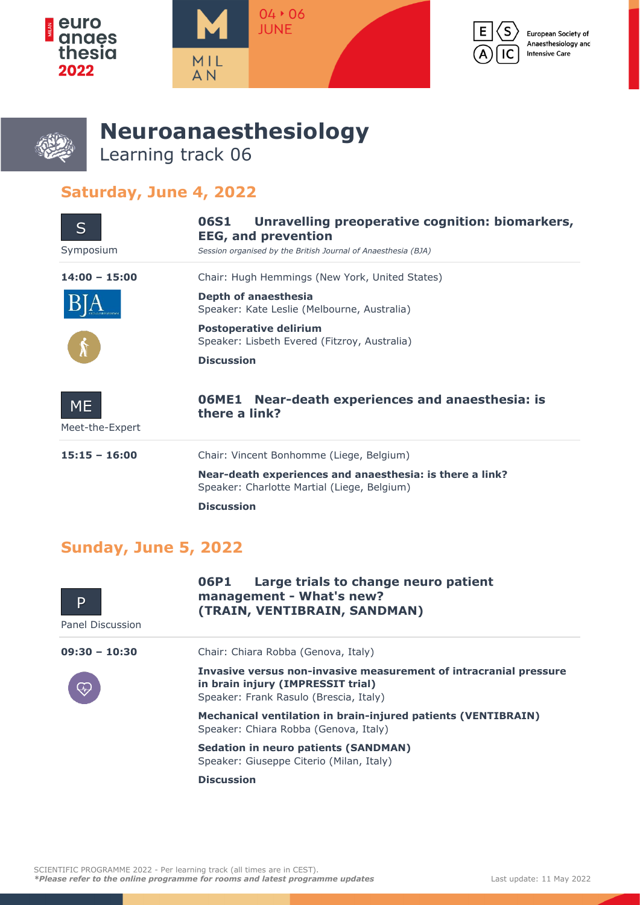



European Society of Anaesthesiology and **Intensive Care** 



## **Neuroanaesthesiology** Learning track 06

## **Saturday, June 4, 2022**

| $\mathsf{S}$                 | Unravelling preoperative cognition: biomarkers,<br>06S1<br><b>EEG, and prevention</b>                   |
|------------------------------|---------------------------------------------------------------------------------------------------------|
| Symposium                    | Session organised by the British Journal of Anaesthesia (BJA)                                           |
| $14:00 - 15:00$              | Chair: Hugh Hemmings (New York, United States)                                                          |
|                              | Depth of anaesthesia<br>Speaker: Kate Leslie (Melbourne, Australia)                                     |
|                              | <b>Postoperative delirium</b><br>Speaker: Lisbeth Evered (Fitzroy, Australia)                           |
|                              | <b>Discussion</b>                                                                                       |
| <b>ME</b><br>Meet-the-Expert | Near-death experiences and anaesthesia: is<br>06ME1<br>there a link?                                    |
|                              |                                                                                                         |
| $15:15 - 16:00$              | Chair: Vincent Bonhomme (Liege, Belgium)                                                                |
|                              | Near-death experiences and anaesthesia: is there a link?<br>Speaker: Charlotte Martial (Liege, Belgium) |
|                              | <b>Discussion</b>                                                                                       |

## **Sunday, June 5, 2022**

| D<br>Panel Discussion | Large trials to change neuro patient<br>06P1<br>management - What's new?<br>(TRAIN, VENTIBRAIN, SANDMAN)                                         |
|-----------------------|--------------------------------------------------------------------------------------------------------------------------------------------------|
| $09:30 - 10:30$       | Chair: Chiara Robba (Genova, Italy)                                                                                                              |
|                       | Invasive versus non-invasive measurement of intracranial pressure<br>in brain injury (IMPRESSIT trial)<br>Speaker: Frank Rasulo (Brescia, Italy) |
|                       | Mechanical ventilation in brain-injured patients (VENTIBRAIN)<br>Speaker: Chiara Robba (Genova, Italy)                                           |
|                       | <b>Sedation in neuro patients (SANDMAN)</b><br>Speaker: Giuseppe Citerio (Milan, Italy)                                                          |
|                       | <b>Discussion</b>                                                                                                                                |